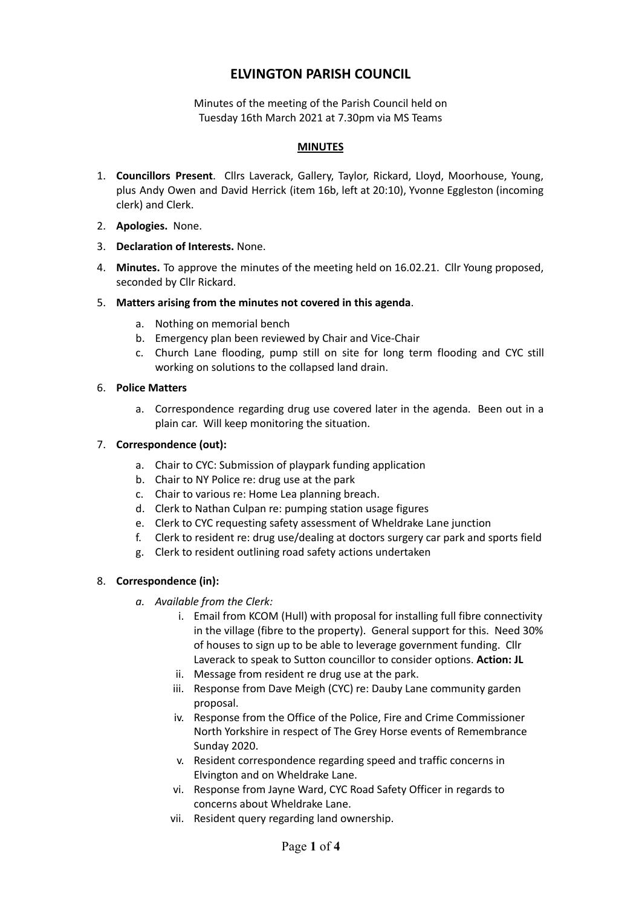# **ELVINGTON PARISH COUNCIL**

Minutes of the meeting of the Parish Council held on Tuesday 16th March 2021 at 7.30pm via MS Teams

#### **MINUTES**

- 1. **Councillors Present**. Cllrs Laverack, Gallery, Taylor, Rickard, Lloyd, Moorhouse, Young, plus Andy Owen and David Herrick (item 16b, left at 20:10), Yvonne Eggleston (incoming clerk) and Clerk.
- 2. **Apologies.** None.
- 3. **Declaration of Interests.** None.
- 4. **Minutes.** To approve the minutes of the meeting held on 16.02.21. Cllr Young proposed, seconded by Cllr Rickard.
- 5. **Matters arising from the minutes not covered in this agenda**.
	- a. Nothing on memorial bench
	- b. Emergency plan been reviewed by Chair and Vice-Chair
	- c. Church Lane flooding, pump still on site for long term flooding and CYC still working on solutions to the collapsed land drain.
- 6. **Police Matters**
	- a. Correspondence regarding drug use covered later in the agenda. Been out in a plain car. Will keep monitoring the situation.

#### 7. **Correspondence (out):**

- a. Chair to CYC: Submission of playpark funding application
- b. Chair to NY Police re: drug use at the park
- c. Chair to various re: Home Lea planning breach.
- d. Clerk to Nathan Culpan re: pumping station usage figures
- e. Clerk to CYC requesting safety assessment of Wheldrake Lane junction
- f. Clerk to resident re: drug use/dealing at doctors surgery car park and sports field
- g. Clerk to resident outlining road safety actions undertaken

# 8. **Correspondence (in):**

- *a. Available from the Clerk:*
	- i. Email from KCOM (Hull) with proposal for installing full fibre connectivity in the village (fibre to the property). General support for this. Need 30% of houses to sign up to be able to leverage government funding. Cllr Laverack to speak to Sutton councillor to consider options. **Action: JL**
	- ii. Message from resident re drug use at the park.
	- iii. Response from Dave Meigh (CYC) re: Dauby Lane community garden proposal.
	- iv. Response from the Office of the Police, Fire and Crime Commissioner North Yorkshire in respect of The Grey Horse events of Remembrance Sunday 2020.
	- v. Resident correspondence regarding speed and traffic concerns in Elvington and on Wheldrake Lane.
	- vi. Response from Jayne Ward, CYC Road Safety Officer in regards to concerns about Wheldrake Lane.
	- vii. Resident query regarding land ownership.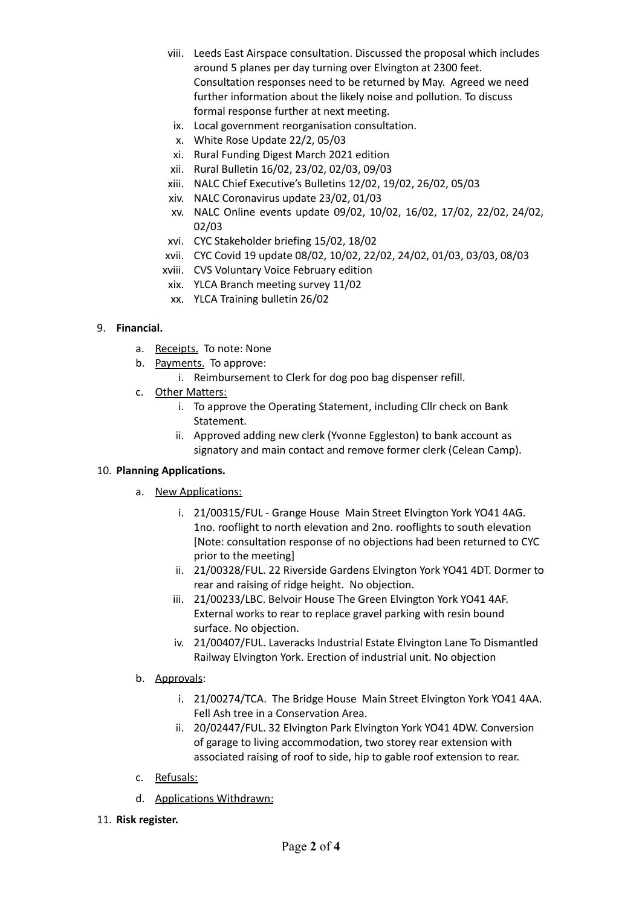- viii. Leeds East Airspace consultation. Discussed the proposal which includes around 5 planes per day turning over Elvington at 2300 feet. Consultation responses need to be returned by May. Agreed we need further information about the likely noise and pollution. To discuss formal response further at next meeting.
- ix. Local government reorganisation consultation.
- x. White Rose Update 22/2, 05/03
- xi. Rural Funding Digest March 2021 edition
- xii. Rural Bulletin 16/02, 23/02, 02/03, 09/03
- xiii. NALC Chief Executive's Bulletins 12/02, 19/02, 26/02, 05/03
- xiv. NALC Coronavirus update 23/02, 01/03
- xv. NALC Online events update 09/02, 10/02, 16/02, 17/02, 22/02, 24/02, 02/03
- xvi. CYC Stakeholder briefing 15/02, 18/02
- xvii. CYC Covid 19 update 08/02, 10/02, 22/02, 24/02, 01/03, 03/03, 08/03
- xviii. CVS Voluntary Voice February edition
- xix. YLCA Branch meeting survey 11/02
- xx. YLCA Training bulletin 26/02

# 9. **Financial.**

- a. Receipts. To note: None
- b. Payments. To approve:
	- i. Reimbursement to Clerk for dog poo bag dispenser refill.
- c. Other Matters:
	- i. To approve the Operating Statement, including Cllr check on Bank Statement.
	- ii. Approved adding new clerk (Yvonne Eggleston) to bank account as signatory and main contact and remove former clerk (Celean Camp).

# 10. **Planning Applications.**

- a. New Applications:
	- i. 21/00315/FUL Grange House Main Street Elvington York YO41 4AG. 1no. rooflight to north elevation and 2no. rooflights to south elevation [Note: consultation response of no objections had been returned to CYC prior to the meeting]
	- ii. 21/00328/FUL. 22 Riverside Gardens Elvington York YO41 4DT. Dormer to rear and raising of ridge height. No objection.
	- iii. 21/00233/LBC. Belvoir House The Green Elvington York YO41 4AF. External works to rear to replace gravel parking with resin bound surface. No objection.
	- iv. 21/00407/FUL. Laveracks Industrial Estate Elvington Lane To Dismantled Railway Elvington York. Erection of industrial unit. No objection
- b. Approvals:
	- i. 21/00274/TCA. The Bridge House Main Street Elvington York YO41 4AA. Fell Ash tree in a Conservation Area.
	- ii. 20/02447/FUL. 32 Elvington Park Elvington York YO41 4DW. Conversion of garage to living accommodation, two storey rear extension with associated raising of roof to side, hip to gable roof extension to rear.
- c. Refusals:
- d. Applications Withdrawn:
- 11. **Risk register.**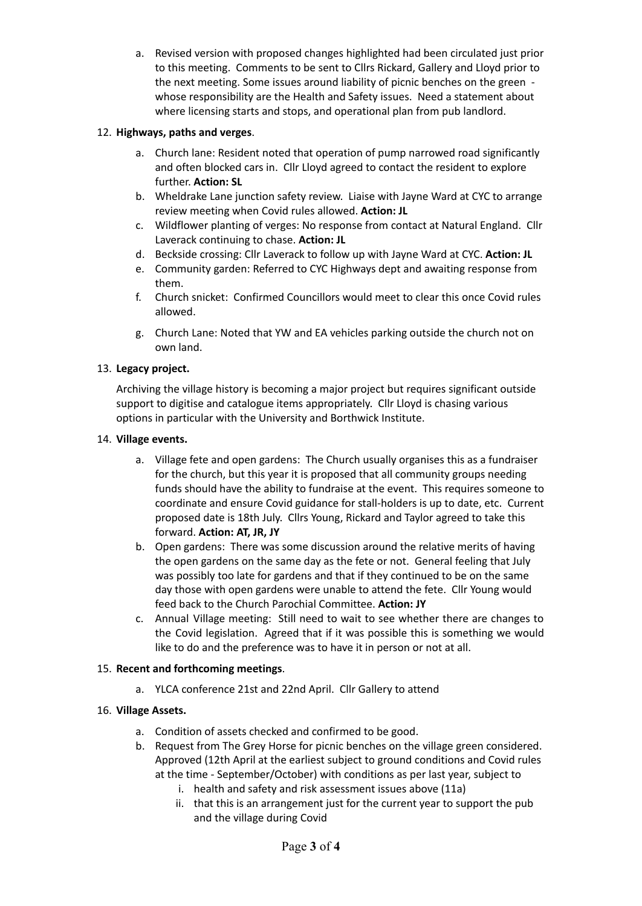a. Revised version with proposed changes highlighted had been circulated just prior to this meeting. Comments to be sent to Cllrs Rickard, Gallery and Lloyd prior to the next meeting. Some issues around liability of picnic benches on the green whose responsibility are the Health and Safety issues. Need a statement about where licensing starts and stops, and operational plan from pub landlord.

# 12. **Highways, paths and verges**.

- a. Church lane: Resident noted that operation of pump narrowed road significantly and often blocked cars in. Cllr Lloyd agreed to contact the resident to explore further. **Action: SL**
- b. Wheldrake Lane junction safety review. Liaise with Jayne Ward at CYC to arrange review meeting when Covid rules allowed. **Action: JL**
- c. Wildflower planting of verges: No response from contact at Natural England. Cllr Laverack continuing to chase. **Action: JL**
- d. Beckside crossing: Cllr Laverack to follow up with Jayne Ward at CYC. **Action: JL**
- e. Community garden: Referred to CYC Highways dept and awaiting response from them.
- f. Church snicket: Confirmed Councillors would meet to clear this once Covid rules allowed.
- g. Church Lane: Noted that YW and EA vehicles parking outside the church not on own land.

#### 13. **Legacy project.**

Archiving the village history is becoming a major project but requires significant outside support to digitise and catalogue items appropriately. Cllr Lloyd is chasing various options in particular with the University and Borthwick Institute.

#### 14. **Village events.**

- a. Village fete and open gardens: The Church usually organises this as a fundraiser for the church, but this year it is proposed that all community groups needing funds should have the ability to fundraise at the event. This requires someone to coordinate and ensure Covid guidance for stall-holders is up to date, etc. Current proposed date is 18th July. Cllrs Young, Rickard and Taylor agreed to take this forward. **Action: AT, JR, JY**
- b. Open gardens: There was some discussion around the relative merits of having the open gardens on the same day as the fete or not. General feeling that July was possibly too late for gardens and that if they continued to be on the same day those with open gardens were unable to attend the fete. Cllr Young would feed back to the Church Parochial Committee. **Action: JY**
- c. Annual Village meeting: Still need to wait to see whether there are changes to the Covid legislation. Agreed that if it was possible this is something we would like to do and the preference was to have it in person or not at all.

# 15. **Recent and forthcoming meetings**.

a. YLCA conference 21st and 22nd April. Cllr Gallery to attend

# 16. **Village Assets.**

- a. Condition of assets checked and confirmed to be good.
- b. Request from The Grey Horse for picnic benches on the village green considered. Approved (12th April at the earliest subject to ground conditions and Covid rules at the time - September/October) with conditions as per last year, subject to
	- i. health and safety and risk assessment issues above (11a)
	- ii. that this is an arrangement just for the current year to support the pub and the village during Covid